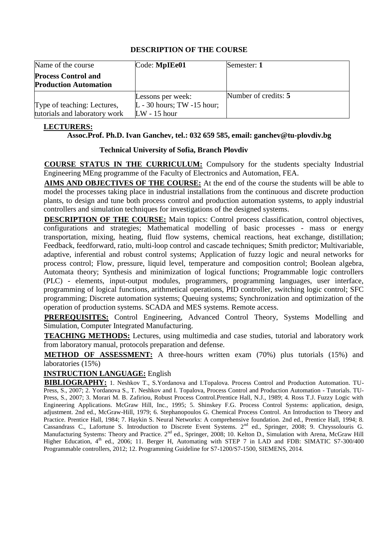| Name of the course                                           | Code: MpIEe01                                                         | Semester: 1          |
|--------------------------------------------------------------|-----------------------------------------------------------------------|----------------------|
| <b>Process Control and</b><br><b>Production Automation</b>   |                                                                       |                      |
| Type of teaching: Lectures,<br>tutorials and laboratory work | Lessons per week:<br>$L - 30$ hours; TW $-15$ hour;<br>$LW - 15$ hour | Number of credits: 5 |

## **LECTURERS:**

#### **Assoc.Prof. Ph.D. Ivan Ganchev, tel.: 032 659 585, [email: ganchev@tu-](mailto:sty@tu-sofia.bg)plovdiv.bg**

#### **Technical University of Sofia, Branch Plovdiv**

**COURSE STATUS IN THE CURRICULUM:** Compulsory for the students specialty Industrial Engineering MEng programme of the Faculty of Electronics and Automation, FEA.

**AIMS AND OBJECTIVES OF THE COURSE:** At the end of the course the students will be able to model the processes taking place in industrial installations from the continuous and discrete production plants, to design and tune both process control and production automation systems, to apply industrial controllers and simulation techniques for investigations of the designed systems.

**DESCRIPTION OF THE COURSE:** Main topics: Control process classification, control objectives, configurations and strategies; Mathematical modelling of basic processes - mass or energy transportation, mixing, heating, fluid flow systems, chemical reactions, heat exchange, distillation; Feedback, feedforward, ratio, multi-loop control and cascade techniques; Smith predictor; Multivariable, adaptive, inferential and robust control systems; Application of fuzzy logic and neural networks for process control; Flow, pressure, liquid level, temperature and composition control; Boolean algebra, Automata theory; Synthesis and minimization of logical functions; Programmable logic controllers (PLC) - elements, input-output modules, programmers, programming languages, user interface, programming of logical functions, arithmetical operations, PID controller, switching logic control; SFC programming; Discrete automation systems; Queuing systems; Synchronization and optimization of the operation of production systems. SCADA and MES systems. Remote access.

**PREREQUISITES:** Control Engineering, Advanced Control Theory, Systems Modelling and Simulation, Computer Integrated Manufacturing.

**TEACHING METHODS:** Lectures, using multimedia and case studies, tutorial and laboratory work from laboratory manual, protocols preparation and defense.

**METHOD OF ASSESSMENT:** A three-hours written exam (70%) plus tutorials (15%) and laboratories (15%)

# **INSTRUCTION LANGUAGE:** English

**BIBLIOGRAPHY:** 1. Neshkov T., S.Yordanova and I.Topalova. Process Control and Production Automation. TU-Press, S., 2007; 2. Yordanova S., T. Neshkov and I. Topalova, Process Control and Production Automation - Tutorials. TU-Press, S., 2007; 3. Morari M. B. Zafiriou, Robust Process Control.Prentice Hall, N.J., 1989; 4. Ross T.J. Fuzzy Logic with Engineering Applications. McGraw Hill, Inc., 1995; 5. Shinskey F.G. Process Control Systems: application, design, adjustment. 2nd ed., McGraw-Hill, 1979; 6. Stephanopoulos G. Chemical Process Control. An Introduction to Theory and Practice. Prentice Hall, 1984; 7. Haykin S. Neural Networks: A comprehensive foundation. 2nd ed., Prentice Hall, 1994; 8. Cassandrass C., Lafortune S. Introduction to Discrete Event Systems. 2nd ed., Springer, 2008; 9. Chryssolouris G. Manufacturing Systems: Theory and Practice. 2<sup>nd</sup> ed., Springer, 2008; 10. Kelton D., Simulation with Arena, McGraw Hill Higher Education, 4<sup>th</sup> ed., 2006; 11. Berger H, Automating with STEP 7 in LAD and FDB: SIMATIC S7-300/400 Programmable controllers, 2012; 12. Programming Guideline for S7-1200/S7-1500, SIEMENS, 2014.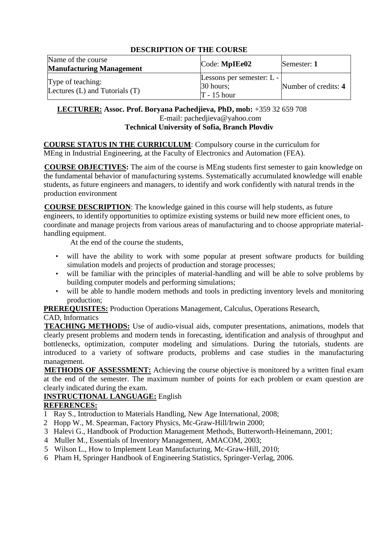| Name of the course<br><b>Manufacturing Management</b>   | Code: MpIEe02                                             | Semester: 1          |
|---------------------------------------------------------|-----------------------------------------------------------|----------------------|
| Type of teaching:<br>Lectures $(L)$ and Tutorials $(T)$ | Lessons per semester: L -<br>$30$ hours;<br>$T - 15$ hour | Number of credits: 4 |

## **LECTURER: Assoc. Prof. Boryana Pachedjieva, PhD, mob:** +359 32 659 708 E-mail: pachedjieva@yahoo.com **Technical University of Sofia, Branch Plovdiv**

**COURSE STATUS IN THE CURRICULUM**: Compulsory course in the curriculum for MEng in Industrial Engineering, at the Faculty of Electronics and Automation (FEA).

**COURSE OBJECTIVES:** The aim of the course is MEng students first semester to gain knowledge on the fundamental behavior of manufacturing systems. Systematically accumulated knowledge will enable students, as future engineers and managers, to identify and work confidently with natural trends in the production environment

**COURSE DESCRIPTION**: The knowledge gained in this course will help students, as future engineers, to identify opportunities to optimize existing systems or build new more efficient ones, to coordinate and manage projects from various areas of manufacturing and to choose appropriate materialhandling equipment.

At the end of the course the students,

- will have the ability to work with some popular at present software products for building simulation models and projects of production and storage processes;
- will be familiar with the principles of material-handling and will be able to solve problems by building computer models and performing simulations;
- will be able to handle modern methods and tools in predicting inventory levels and monitoring production;

**PREREQUISITES:** Production Operations Management, Calculus, Operations Research,

# CAD, Informatics

**TEACHING METHODS:** Use of audio-visual aids, computer presentations, animations, models that clearly present problems and modern tends in forecasting, identification and analysis of throughput and bottlenecks, optimization, computer modeling and simulations. During the tutorials, students are introduced to a variety of software products, problems and case studies in the manufacturing management.

**METHODS OF ASSESSMENT:** Achieving the course objective is monitored by a written final exam at the end of the semester. The maximum number of points for each problem or exam question are clearly indicated during the exam.

# **INSTRUCTIONAL LANGUAGE:** English

# **REFERENCES:**

- 1 Ray S., Introduction to Materials Handling, New Age International, 2008;
- 2 Hopp W., M. Spearman, Factory Physics, Mc-Graw-Hill/Irwin 2000;
- 3 Halevi G., Handbook of Production Management Methods, Butterworth-Heinemann, 2001;
- 4 Muller M., Essentials of Inventory Management, AMACOM, 2003;
- 5 Wilson L., How to Implement Lean Manufacturing, Mc-Graw-Hill, 2010;
- 6 Pham H, Springer Handbook of Engineering Statistics, Springer-Verlag, 2006.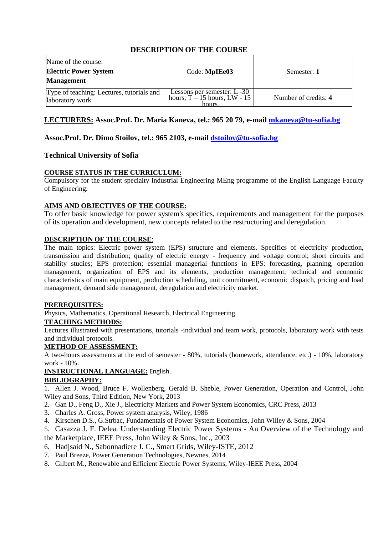| Name of the course:<br><b>Electric Power System</b><br><b>Management</b> | Code: MpIEe03                                                               | Semester: 1          |
|--------------------------------------------------------------------------|-----------------------------------------------------------------------------|----------------------|
| Type of teaching: Lectures, tutorials and<br>laboratory work             | Lessons per semester: $L - 30$<br>hours; $T - 15$ hours, $LW - 15$<br>hours | Number of credits: 4 |

## **LECTURERS: Assoc.Prof. Dr. Maria Kaneva, tel.: 965 20 79, e-mail [mkaneva@tu-sofia.bg](mailto:mkaneva@tu-sofia.bg)**

#### **Assoc.Prof. Dr. Dimo Stoilov, tel.: 965 2103, e-mail [dstoilov@tu-sofia.bg](mailto:dstoilov@tu-sofia.bg)**

#### **Technical University of Sofia**

#### **COURSE STATUS IN THE CURRICULUM:**

Compulsory for the student specialty Industrial Engineering MEng programme of the English Language Faculty of Engineering.

#### **AIMS AND OBJECTIVES OF THE COURSE:**

To offer basic knowledge for power system's specifics, requirements and management for the purposes of its operation and development, new concepts related to the restructuring and deregulation.

#### **DESCRIPTION OF THE COURSE**:

The main topics: Electric power system (EPS) structure and elements. Specifics of electricity production, transmission and distribution; quality of electric energy - frequency and voltage control; short circuits and stability studies; EPS protection; essential managerial functions in EPS: forecasting, planning, operation management, organization of EPS and its elements, production management; technical and economic characteristics of main equipment, production scheduling, unit commitment, economic dispatch, pricing and load management, demand side management, deregulation and electricity market.

#### **PREREQUISITES:**

Physics, Mathematics, Operational Research, Electrical Engineering.

#### **TEACHING METHODS:**

Lectures illustrated with presentations, tutorials -individual and team work, protocols, laboratory work with tests and individual protocols.

#### **METHOD OF ASSESSMENT:**

A two-hours assessments at the end of semester - 80%, tutorials (homework, attendance, etc.) - 10%, laboratory work - 10%.

#### **INSTRUCTIONAL LANGUAGE:** English.

#### **BIBLIOGRAPHY:**

1. Allen J. Wood, Bruce F. Wollenberg, Gerald B. Sheble, Power Generation, Operation and Control, John Wiley and Sons, Third Edition, New York, 2013

- 2. Gan D., Feng D., Xie J., Electricity Markets and Power System Economics, CRC Press, 2013
- 3. Charles A. Gross, Power system analysis, Wiley, 1986
- 4. Kirschen D.S., G.Strbac, Fundamentals of Power System Economics, John Willey & Sons, 2004
- 5. Casazza J. F. Delea. Understanding Electric Power Systems An Overview of the Technology and the Marketplace, IEEE Press, John Wiley & Sons, Inc., 2003
- 6. Hadjsaid N., Sabonnadiere J. C., Smart Grids, Wiley-ISTE, 2012
- 7. Paul Breeze, Power Generation Technologies, Newnes, 2014
- 8. Gilbert M., Renewable and Efficient Electric Power Systems, Wiley-IEEE Press, 2004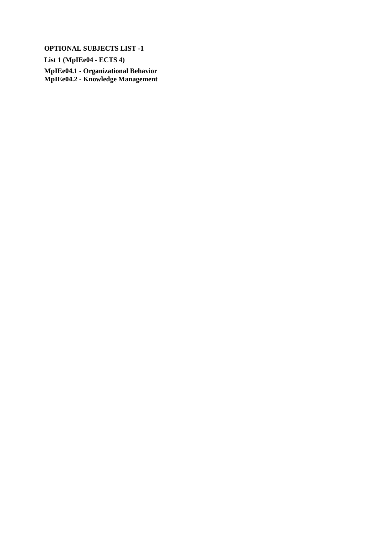**List 1 (MpIEe04 - ECTS 4)**

**MpIEe04.1 - Organizational Behavior MpIEe04.2 - Knowledge Management**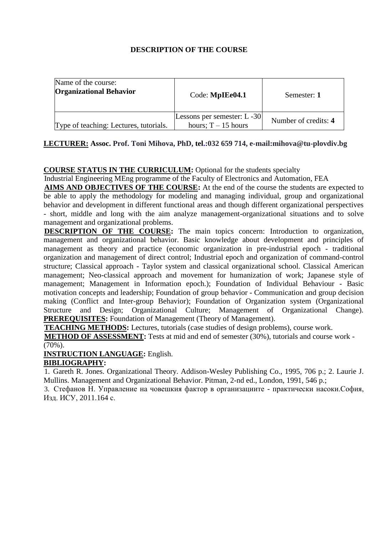| Name of the course:<br><b>Organizational Behavior</b> | Code: MpIEe04.1                                     | Semester: 1          |
|-------------------------------------------------------|-----------------------------------------------------|----------------------|
| Type of teaching: Lectures, tutorials.                | Lessons per semester: L-30<br>hours; $T - 15$ hours | Number of credits: 4 |

## **LECTURER: Assoc. Prof. Toni Mihova, P[hD, tel.:032 659 714,](mailto:nako54@abv.bg) e-mail[:mihova@tu-plovdiv.bg](mailto:mihova@tu-plovdiv.bg)**

## **COURSE STATUS IN THE CURRICULUM:** Optional for the students specialty

Industrial Engineering MEng programme of the Faculty of Electronics and Automation, FEA

**AIMS AND OBJECTIVES OF THE COURSE:** At the end of the course the students are expected to be able to apply the methodology for modeling and managing individual, group and organizational behavior and development in different functional areas and though different organizational perspectives - short, middle and long with the aim analyze management-organizational situations and to solve management and organizational problems.

**DESCRIPTION OF THE COURSE:** The main topics concern: Introduction to organization, management and organizational behavior. Basic knowledge about development and principles of management as theory and practice (economic organization in pre-industrial epoch - traditional organization and management of direct control; Industrial epoch and organization of command-control structure; Classical approach - Taylor system and classical organizational school. Classical American management; Neo-classical approach and movement for humanization of work; Japanese style of management; Management in Information epoch.); Foundation of Individual Behaviour - Basic motivation concepts and leadership; Foundation of group behavior - Communication and group decision making (Conflict and Inter-group Behavior); Foundation of Organization system (Organizational Structure and Design; Organizational Culture; Management of Organizational Change). **PREREQUISITES:** Foundation of Management (Theory of Management).

**TEACHING METHODS:** Lectures, tutorials (case studies of design problems), course work.

**METHOD OF ASSESSMENT:** Tests at mid and end of semester (30%), tutorials and course work -  $(70\%)$ .

**INSTRUCTION LANGUAGE:** English.

## **BIBLIOGRAPHY:**

1. Gareth R. Jones. Organizational Theory. Addison-Wesley Publishing Co., 1995, 706 p.; 2. Laurie J. Mullins. Management and Organizational Behavior. Pitman, 2-nd ed., London, 1991, 546 p.;

3. Стефанов Н. Управление на човешкия фактор в организациите - практически насоки.София, Изд. ИСУ, 2011.164 с.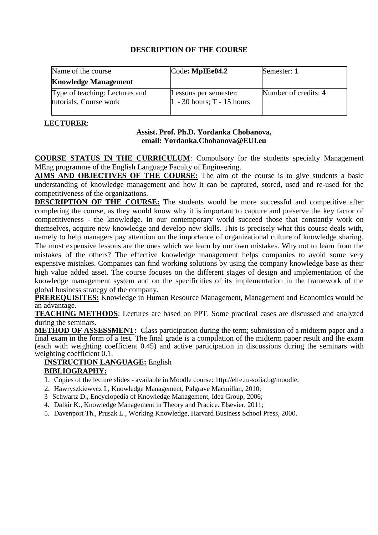| Name of the course                                       | $\text{Code: MplEe04.2}$                              | Semester: 1          |
|----------------------------------------------------------|-------------------------------------------------------|----------------------|
| <b>Knowledge Management</b>                              |                                                       |                      |
| Type of teaching: Lectures and<br>tutorials, Course work | Lessons per semester:<br>$L - 30$ hours; T - 15 hours | Number of credits: 4 |

## **LECTURER**:

# **Assist. Prof. Ph.D. Yordanka Chobanova, email: [Yordanka.Chobanova@EUI.eu](mailto:Yordanka.Chobanova@EUI.eu)**

**COURSE STATUS IN THE CURRICULUM**: Compulsory for the students specialty Management MEng programme of the English Language Faculty of Engineering.

**AIMS AND OBJECTIVES OF THE COURSE:** The aim of the course is to give students a basic understanding of knowledge management and how it can be captured, stored, used and re-used for the competitiveness of the organizations.

**DESCRIPTION OF THE COURSE:** The students would be more successful and competitive after completing the course, as they would know why it is important to capture and preserve the key factor of competitiveness - the knowledge. In our contemporary world succeed those that constantly work on themselves, acquire new knowledge and develop new skills. This is precisely what this course deals with, namely to help managers pay attention on the importance of organizational culture of knowledge sharing. The most expensive lessons are the ones which we learn by our own mistakes. Why not to learn from the mistakes of the others? The effective knowledge management helps companies to avoid some very expensive mistakes. Companies can find working solutions by using the company knowledge base as their high value added asset. The course focuses on the different stages of design and implementation of the knowledge management system and on the specificities of its implementation in the framework of the global business strategy of the company.

**PREREQUISITES:** Knowledge in Human Resource Management, Management and Economics would be an advantage.

**TEACHING METHODS**: Lectures are based on PPT. Some practical cases are discussed and analyzed during the seminars.

**METHOD OF ASSESSMENT:** Class participation during the term; submission of a midterm paper and a final exam in the form of a test. The final grade is a compilation of the midterm paper result and the exam (each with weighting coefficient 0.45) and active participation in discussions during the seminars with weighting coefficient 0.1.

## **INSTRUCTION LANGUAGE:** English **BIBLIOGRAPHY:**

- 1. Copies of the lecture slides available in Moodle course[: http://elfe.tu-sofia.bg/moodle;](http://elfe.tu-sofia.bg/moodle)
- 2. Hawryszkiewycz I., Knowledge Management, Palgrave Macmillan, 2010;
- 3 Schwartz D., Encyclopedia of Knowledge Management, Idea Group, 2006;
- 4. Dalkir K., Knowledge Management in Theory and Pracice. Elsevier, 2011;
- 5. Davenport Th., Prusak L., Working Knowledge, Harvard Business School Press, 2000.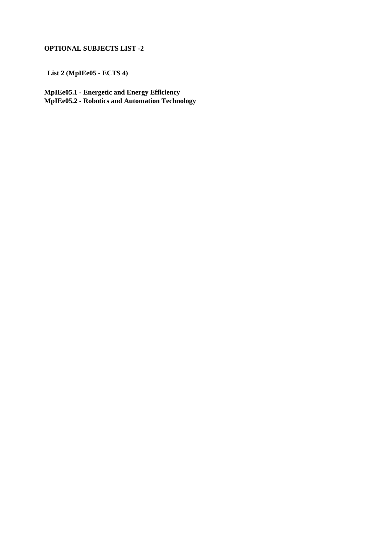**List 2 (MpIEe05 - ECTS 4)**

**MpIEe05.1 - Energetic and Energy Efficiency MpIEe05.2 - Robotics and Automation Technology**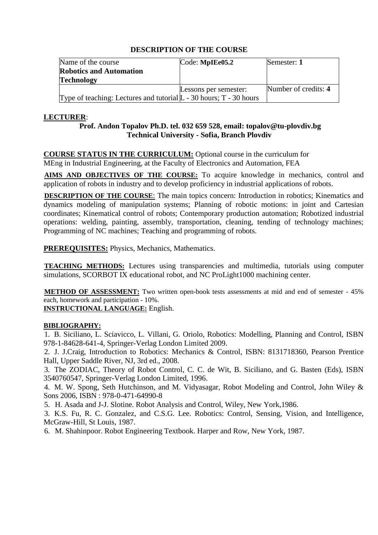| Name of the course                                                   | Code: MpIEe05.2       | Semester: 1          |
|----------------------------------------------------------------------|-----------------------|----------------------|
| <b>Robotics and Automation</b>                                       |                       |                      |
| <b>Technology</b>                                                    |                       |                      |
|                                                                      | Lessons per semester: | Number of credits: 4 |
| Type of teaching: Lectures and tutorial $L - 30$ hours; T - 30 hours |                       |                      |

## **LECTURER**:

## **Prof. Andon Topalov Ph.D. tel. 032 659 528, emai[l: topalov@tu-plovdiv.](mailto:balaves@tu-sofia.bg)bg Technical University - Sofia, Branch Plovdiv**

**COURSE STATUS IN THE CURRICULUM:** Optional course in the curriculum for MEng in Industrial Engineering, at the Faculty of Electronics and Automation, FEA

**AIMS AND OBJECTIVES OF THE COURSE:** To acquire knowledge in mechanics, control and application of robots in industry and to develop proficiency in industrial applications of robots.

**DESCRIPTION OF THE COURSE:** The main topics concern: Introduction in robotics; Kinematics and dynamics modeling of manipulation systems; Planning of robotic motions: in joint and Cartesian coordinates; Kinematical control of robots; Contemporary production automation; Robotized industrial operations: welding, painting, assembly, transportation, cleaning, tending of technology machines; Programming of NC machines; Teaching and programming of robots.

**PREREQUISITES:** Physics, Mechanics, Mathematics.

**TEACHING METHODS:** Lectures using transparencies and multimedia, tutorials using computer simulations, SCORBOT IX educational robot, and NC ProLight1000 machining center.

**METHOD OF ASSESSMENT:** Two written open-book tests assessments at mid and end of semester - 45% each, homework and participation - 10%.

**INSTRUCTIONAL LANGUAGE:** English.

## **BIBLIOGRAPHY:**

1. B. Siciliano, L. Sciavicco, L. Villani, G. Oriolo, Robotics: Modelling, Planning and Control, ISBN 978-1-84628-641-4, Springer-Verlag London Limited 2009.

2. J. J.Craig, Introduction to Robotics: Mechanics & Control, ISBN: 8131718360, Pearson Prentice Hall, Upper Saddle River, NJ, 3rd ed., 2008.

3. The ZODIAC, Theory of Robot Control, C. C. de Wit, B. Siciliano, and G. Basten (Eds), ISBN 3540760547, Springer-Verlag London Limited, 1996.

4. M. W. Spong, Seth Hutchinson, and M. Vidyasagar, Robot Modeling and Control, John Wiley & Sons 2006, ISBN : 978-0-471-64990-8

5. H. Asada and J-J. Slotine. Robot Analysis and Control, Wiley, New York,1986.

3. K.S. Fu, R. C. Gonzalez, and C.S.G. Lee. Robotics: Control, Sensing, Vision, and Intelligence, McGraw-Hill, St Louis, 1987.

6. M. Shahinpoor. Robot Engineering Textbook. Harper and Row, New York, 1987.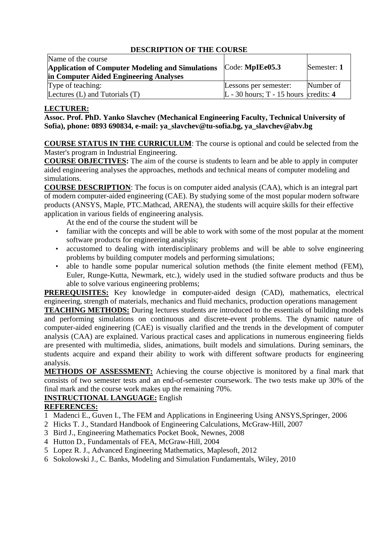| Name of the course                                      |                                         |             |
|---------------------------------------------------------|-----------------------------------------|-------------|
| <b>Application of Computer Modeling and Simulations</b> | Code: <b>MpIEe05.3</b>                  | Semester: 1 |
| in Computer Aided Engineering Analyses                  |                                         |             |
| Type of teaching:                                       | Lessons per semester:                   | Number of   |
| Lectures (L) and Tutorials (T)                          | L - 30 hours; $T - 15$ hours credits: 4 |             |

## **LECTURER:**

**Assoc. Prof. PhD. Yanko Slavchev (Mechanical Engineering Faculty, Technical University of Sofia), phone: 0893 690834, e-mail: [ya\\_slavchev@tu-sofia.bg,](mailto:ya_slavchev@tu-sofia.bg) [ya\\_slavchev@abv.bg](mailto:ya_slavchev@abv.bg)**

**COURSE STATUS IN THE CURRICULUM**: The course is optional and could be selected from the Master's program in Industrial Engineering.

**COURSE OBJECTIVES:** The aim of the course is students to learn and be able to apply in computer aided engineering analyses the approaches, methods and technical means of computer modeling and simulations.

**COURSE DESCRIPTION**: The focus is on computer aided analysis (CAA), which is an integral part of modern computer-aided engineering (CAE). By studying some of the most popular modern software products (ANSYS, Maple, PTC.Mathcad, ARENA), the students will acquire skills for their effective application in various fields of engineering analysis.

At the end of the course the student will be

- familiar with the concepts and will be able to work with some of the most popular at the moment software products for engineering analysis;
- accustomed to dealing with interdisciplinary problems and will be able to solve engineering problems by building computer models and performing simulations;
- able to handle some popular numerical solution methods (the finite element method (FEM), Euler, Runge-Kutta, Newmark, etc.), widely used in the studied software products and thus be able to solve various engineering problems;

**PREREQUISITES:** Key knowledge in **c**omputer-aided design (CAD), mathematics, electrical engineering, strength of materials, mechanics and fluid mechanics, production operations management

**TEACHING METHODS:** During lectures students are introduced to the essentials of building models and performing simulations on continuous and discrete-event problems. The dynamic nature of computer-aided engineering (CAE) is visually clarified and the trends in the development of computer analysis (CAA) are explained. Various practical cases and applications in numerous engineering fields are presented with multimedia, slides, animations, built models and simulations. During seminars, the students acquire and expand their ability to work with different software products for engineering analysis.

**METHODS OF ASSESSMENT:** Achieving the course objective is monitored by a final mark that consists of two semester tests and an end-of-semester coursework. The two tests make up 30% of the final mark and the course work makes up the remaining 70%.

# **INSTRUCTIONAL LANGUAGE:** English

# **REFERENCES:**

- 1 Madenci E., Guven I., The FEM and Applications in Engineering Using ANSYS,Springer, 2006
- 2 Hicks T. J., Standard Handbook of Engineering Calculations, McGraw-Hill, 2007
- 3 Bird J., Engineering Mathematics Pocket Book, Newnes, 2008
- 4 Hutton D., Fundamentals of FEA, McGraw-Hill, 2004
- 5 Lopez R. J., Advanced Engineering Mathematics, Maplesoft, 2012
- 6 Sokolowski J., C. Banks, Modeling and Simulation Fundamentals, Wiley, 2010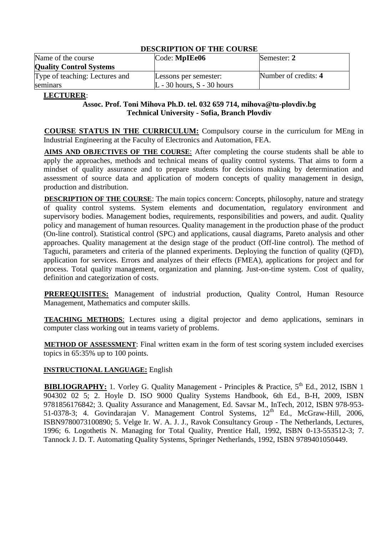| Name of the course<br><b>Quality Control Systems</b> | Code: MpIEe06                                           | Semester: 2          |
|------------------------------------------------------|---------------------------------------------------------|----------------------|
| Type of teaching: Lectures and<br>seminars           | Lessons per semester:<br>$L - 30$ hours, $S - 30$ hours | Number of credits: 4 |

#### **LECTURER**:

### **Assoc. Prof. Toni Mihova Ph.D. tel. 032 659 714, [mihova@tu-plovdiv.bg](mailto:mihova@tu-plovdiv.bg) Technical University - Sofia, Branch Plovdiv**

**COURSE STATUS IN THE CURRICULUM:** Compulsory course in the curriculum for MEng in Industrial Engineering at the Faculty of Electronics and Automation, FEA.

**AIMS AND OBJECTIVES OF THE COURSE**: After completing the course students shall be able to apply the approaches, methods and technical means of quality control systems. That aims to form a mindset of quality assurance and to prepare students for decisions making by determination and assessment of source data and application of modern concepts of quality management in design, production and distribution.

**DESCRIPTION OF THE COURSE:** The main topics concern: Concepts, philosophy, nature and strategy of quality control systems. System elements and documentation, regulatory environment and supervisory bodies. Management bodies, requirements, responsibilities and powers, and audit. Quality policy and management of human resources. Quality management in the production phase of the product (On-line control). Statistical control (SPC) and applications, causal diagrams, Pareto analysis and other approaches. Quality management at the design stage of the product (Off-line control). The method of Taguchi, parameters and criteria of the planned experiments. Deploying the function of quality (QFD), application for services. Errors and analyzes of their effects (FMEA), applications for project and for process. Total quality management, organization and planning. Just-on-time system. Cost of quality, definition and categorization of costs.

**PREREQUISITES:** Management of industrial production, Quality Control, Human Resource Management, Mathematics and computer skills.

**TEACHING METHODS**: Lectures using a digital projector and demo applications, seminars in computer class working out in teams variety of problems.

**METHOD OF ASSESSMENT:** Final written exam in the form of test scoring system included exercises topics in 65:35% up to 100 points.

## **INSTRUCTIONAL LANGUAGE:** English

**BIBLIOGRAPHY:** 1. Vorley G. Quality Management - Principles & Practice, 5<sup>th</sup> Ed., 2012, ISBN 1 904302 02 5; 2. Hoyle D. ISO 9000 Quality Systems Handbook, 6th Ed., B-H, 2009, ISBN 9781856176842; 3. Quality Assurance and Management, E[d. Savsar M](http://www.intechopen.com/books/editor/quality-assurance-and-management)., InTech, 2012, ISBN 978-953- 51-0378-3; 4. [Govindarajan V](http://books.rediff.com/author/vijay-govindarajan?sc_cid=www.google.bg%7cbrowse%7cauthor). Management Control Systems, 12<sup>th</sup> Ed., McGraw-Hill, 2006, ISBN9780073100890; 5. Velge Ir. W. A. J. J., Ravok Consultancy Group - The Netherlands, Lectures, 1996; 6. Logothetis N. Managing for Total Quality, Prentice Hall, 1992, ISBN 0-13-553512-3; 7. Tannock [J. D. T.](http://link.springer.com/search?facet-author=%22J.+D.+T.+Tannock%22) [Automating Quality Systems,](http://link.springer.com/search?facet-author=%22J.+D.+T.+Tannock%22) Springer Netherlands, 1992, ISBN 9789401050449.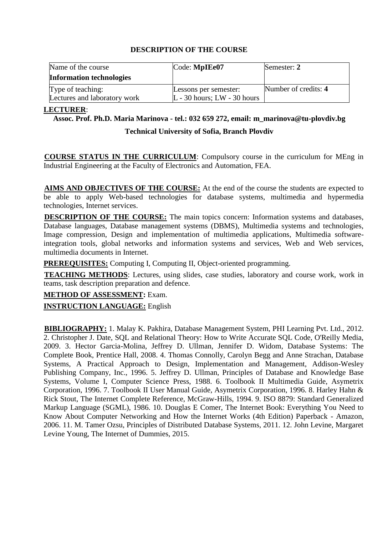| Name of the course              | Code: MpIEe07                   | Semester: 2          |
|---------------------------------|---------------------------------|----------------------|
| <b>Information technologies</b> |                                 |                      |
| Type of teaching:               | Lessons per semester:           | Number of credits: 4 |
| Lectures and laboratory work    | $L - 30$ hours; $LW - 30$ hours |                      |

#### **LECTURER**:

#### **Assoc. Prof. Ph.D. Maria Marinova - tel.: 032 659 272, email: [m\\_marinova@tu-plovdiv.bg](mailto:m_marinova@tu-plovdiv.bg)**

#### **Technical University of Sofia, Branch Plovdiv**

**COURSE STATUS IN THE CURRICULUM**: Compulsory course in the curriculum for MEng in Industrial Engineering at the Faculty of Electronics and Automation, FEA.

**AIMS AND OBJECTIVES OF THE COURSE:** At the end of the course the students are expected to be able to apply Web-based technologies for database systems, multimedia and hypermedia technologies, Internet services.

**DESCRIPTION OF THE COURSE:** The main topics concern: Information systems and databases, Database languages, Database management systems (DBMS), Multimedia systems and technologies, Image compression, Design and implementation of multimedia applications, Multimedia softwareintegration tools, global networks and information systems and services, Web and Web services, multimedia documents in Internet.

**PREREQUISITES:** Computing I, Computing II, Object-oriented programming.

**TEACHING METHODS**: Lectures, using slides, case studies, laboratory and course work, work in teams, task description preparation and defence.

#### **METHOD OF ASSESSMENT:** Exam.

**INSTRUCTION LANGUAGE:** English

**BIBLIOGRAPHY:** 1. Malay K. Pakhira, Database Management System, PHI Learning Pvt. Ltd., 2012. 2. Christopher J. Date, SQL and Relational Theory: How to Write Accurate SQL Code, O'Reilly Media, 2009. 3. Hector Garcia-Molina, Jeffrey D. Ullman, Jennifer D. Widom, Database Systems: The Complete Book, Prentice Hall, 2008. 4. Thomas Connolly, Carolyn Begg and Anne Strachan, Database Systems, A Practical Approach to Design, Implementation and Management, Addison-Wesley Publishing Company, Inc., 1996. 5. Jeffrey D. Ullman, Principles of Database and Knowledge Base Systems, Volume I, Computer Science Press, 1988. 6. Toolbook II Multimedia Guide, Asymetrix Corporation, 1996. 7. Toolbook II User Manual Guide, Asymetrix Corporation, 1996. 8. Harley Hahn & Rick Stout, The Internet Complete Reference, McGraw-Hills, 1994. 9. ISO 8879: Standard Generalized Markup Language (SGML), 1986. 10. [Douglas E Comer,](http://www.amazon.com/Douglas-E-Comer/e/B000AQ4HHG/ref=dp_byline_cont_book_1) The Internet Book: Everything You Need to Know About Computer Networking and How the Internet Works (4th Edition) Paperback - Amazon, 2006. 11. M. Tamer Ozsu, Principles of Distributed Database Systems, 2011. 12. John Levine, Margaret Levine Young, The Internet of Dummies, 2015.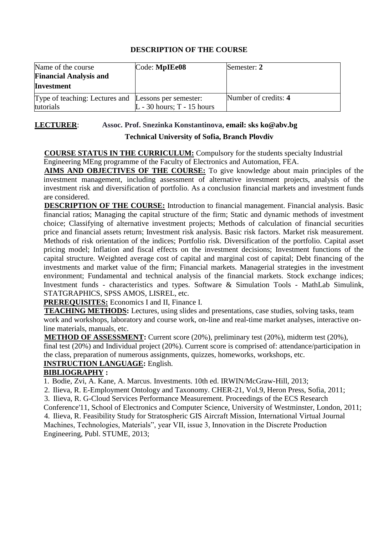| Name of the course<br><b>Financial Analysis and</b><br><b>Investment</b> | Code: MpIEe08                | Semester: 2          |
|--------------------------------------------------------------------------|------------------------------|----------------------|
| Type of teaching: Lectures and Lessons per semester:<br>tutorials        | $L - 30$ hours; T - 15 hours | Number of credits: 4 |

#### **LECTURER** : **Assoc. Prof. Snezinka Konstantinova, [email: sks ko@abv.bg](mailto:rilieva@tu-sofia.bg)**

# **Technical University of Sofia, Branch Plovdiv**

**COURSE STATUS IN THE CURRICULUM:** Compulsory for the students specialty Industrial Engineering MEng programme of the Faculty of Electronics and Automation, FEA.

**AIMS AND OBJECTIVES OF THE COURSE:** To give knowledge about main principles of the investment management, including assessment of alternative investment projects, analysis of the investment risk and diversification of portfolio. As a conclusion financial markets and investment funds are considered.

**DESCRIPTION OF THE COURSE:** Introduction to financial management. Financial analysis. Basic financial ratios; Managing the capital structure of the firm; Static and dynamic methods of investment choice; Classifying of alternative investment projects; Methods of calculation of financial securities price and financial assets return; Investment risk analysis. Basic risk factors. Market risk measurement. Methods of risk orientation of the indices; Portfolio risk. Diversification of the portfolio. Capital asset pricing model; Inflation and fiscal effects on the investment decisions; Investment functions of the capital structure. Weighted average cost of capital and marginal cost of capital; Debt financing of the investments and market value of the firm; Financial markets. Managerial strategies in the investment environment; Fundamental and technical analysis of the financial markets. Stock exchange indices; Investment funds - characteristics and types. Software & Simulation Tools - MathLab Simulink, STATGRAPHICS, SPSS AMOS, LISREL, etc.

**PREREQUISITES:** Economics I and II, Finance I.

**TEACHING METHODS:** Lectures, using slides and presentations, case studies, solving tasks, team work and workshops, laboratory and course work, on-line and real-time market analyses, interactive online materials, manuals, etc.

**METHOD OF ASSESSMENT:** Current score (20%), preliminary test (20%), midterm test (20%), final test (20%) and Individual project (20%). Current score is comprised of: attendance/participation in the class, preparation of numerous assignments, quizzes, homeworks, workshops, etc. **INSTRUCTION LANGUAGE:** English.

## **BIBLIOGRAPHY :**

1. Bodie, Zvi, A. Kane, A. Marcus. Investments. 10th ed. IRWIN/McGraw-Hill, 2013;

2. Ilieva, R. E-Employment Ontology and Taxonomy. CHER-21, Vol.9, Heron Press, Sofia, 2011;

3. Ilieva, R. G-Cloud Services Performance Measurement. Proceedings of the ECS Research

Conference'11, School of Electronics and Computer Science, University of Westminster, London, 2011; 4. Ilieva, R. Feasibility Study for Stratospheric GIS Aircraft Mission, International Virtual Journal Machines, Technologies, Materials", year VII, issue 3, Innovation in the Discrete Production Engineering, Publ. STUME, 2013;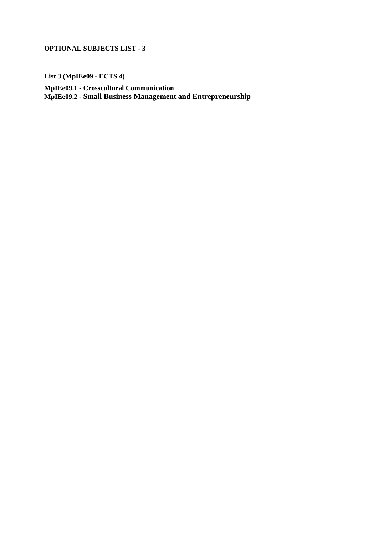**List 3 (MpIEe09 - ECTS 4)**

**MpIEe09.1 - Crosscultural Communication MpIEe09.2 - Small Business Management and Entrepreneurship**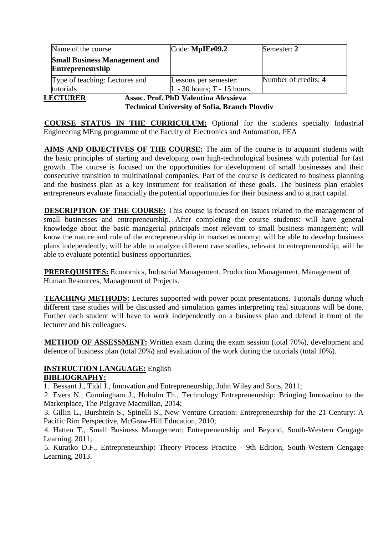| Name of the course                                              | Code: MpIEe09.2                                       | Semester: 2          |
|-----------------------------------------------------------------|-------------------------------------------------------|----------------------|
| <b>Small Business Management and</b><br><b>Entrepreneurship</b> |                                                       |                      |
| Type of teaching: Lectures and<br>tutorials                     | Lessons per semester:<br>$L - 30$ hours; T - 15 hours | Number of credits: 4 |

**LECTURER**: **Assoc. Prof. PhD Valentina Alexsieva**

**Technical University of Sofia, Branch Plovdiv**

**COURSE STATUS IN THE CURRICULUM:** Optional for the students specialty Industrial Engineering MEng programme of the Faculty of Electronics and Automation, FEA

**AIMS AND OBJECTIVES OF THE COURSE:** The aim of the course is to acquaint students with the basic principles of starting and developing own high-technological business with potential for fast growth. The course is focused on the opportunities for development of small businesses and their consecutive transition to multinational companies. Part of the course is dedicated to business planning and the business plan as a key instrument for realisation of these goals. The business plan enables entrepreneurs evaluate financially the potential opportunities for their business and to attract capital.

**DESCRIPTION OF THE COURSE:** This course is focused on issues related to the management of small businesses and entrepreneurship. After completing the course students: will have general knowledge about the basic managerial principals most relevant to small business management; will know the nature and role of the entrepreneurship in market economy; will be able to develop business plans independently; will be able to analyze different case studies, relevant to entrepreneurship; will be able to evaluate potential business opportunities.

**PREREQUISITES:** Economics, Industrial Management, Production Management, Management of Human Resources, Management of Projects.

**TEACHING METHODS:** Lectures supported with power point presentations. Tutorials during which different case studies will be discussed and simulation games interpreting real situations will be done. Further each student will have to work independently on a business plan and defend it front of the lecturer and his colleagues.

**METHOD OF ASSESSMENT:** Written exam during the exam session (total 70%), development and defence of business plan (total 20%) and evaluation of the work during the tutorials (total 10%).

## **INSTRUCTION LANGUAGE:** English **BIBLIOGRAPHY:**

1. Bessant J., Tidd J., Innovation and Entrepreneurship, John Wiley and Sons, 2011;

2. Evers N., Cunningham J., Hoholm Th., Technology Entrepreneurship: Bringing Innovation to the Marketplace, The Palgrave Macmillan, 2014;

3. Gillin L., Burshtein S., Spinelli S., New Venture Creation: Entrepreneurship for the 21 Century: A Pacific Rim Perspective, McGraw-Hill Education, 2010;

4. Hatten T., Small Business Management: Entrepreneurship and Beyond, South-Western Cengage Learning, 2011;

5. Kuratko D.F., Entrepreneurship: Theory Process Practice - 9th Edition, South-Western Cengage Learning, 2013.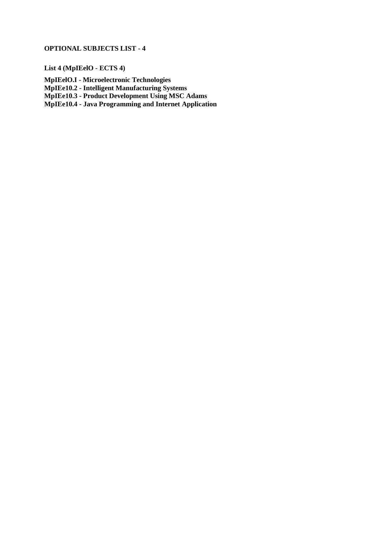**List 4 (MpIEelO - ECTS 4)**

**MpIEelO.I - Microelectronic Technologies MpIEe10.2 - Intelligent Manufacturing Systems MpIEe10.3 - Product Development Using MSC Adams MpIEe10.4 - Java Programming and Internet Application**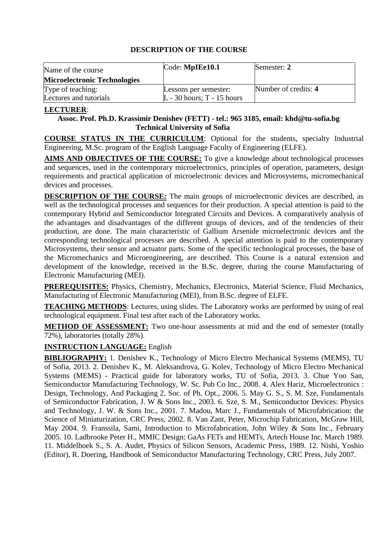| Name of the course                  | Code: MpIEe10.1              | Semester: 2          |
|-------------------------------------|------------------------------|----------------------|
| <b>Microelectronic Technologies</b> |                              |                      |
| Type of teaching:                   | Lessons per semester:        | Number of credits: 4 |
| Lectures and tutorials              | $L - 30$ hours; T - 15 hours |                      |

#### **LECTURER**:

## **Assoc. Prof. Ph.D. Krassimir Denishev (FETT) - tel.: 965 3185, email: [khd@tu-sofia.bg](mailto:khd@tu-sofia.bg) Technical University of Sofia**

**COURSE STATUS IN THE CURRICULUM**: Optional for the students, specialty Industrial Engineering, M.Sc. program of the English Language Faculty of Engineering (ELFE).

**AIMS AND OBJECTIVES OF THE COURSE:** To give a knowledge about technological processes and sequences, used in the contemporary microelectronics, principles of operation, parameters, design requirements and practical application of microelectronic devices and Microsystems, micromechanical devices and processes.

**DESCRIPTION OF THE COURSE:** The main groups of microelectronic devices are described, as well as the technological processes and sequences for their production. A special attention is paid to the contemporary Hybrid and Semiconductor Integrated Circuits and Devices. A comparatively analysis of the advantages and disadvantages of the different groups of devices, and of the tendencies of their production, are done. The main characteristic of Gallium Arsenide microelectronic devices and the corresponding technological processes are described. A special attention is paid to the contemporary Microsystems, their sensor and actuator parts. Some of the specific technological processes, the base of the Micromechanics and Microengineering, are described. This Course is a natural extension and development of the knowledge, received in the B.Sc. degree, during the course Manufacturing of Electronic Manufacturing (MEI).

**PREREQUISITES:** Physics, Chemistry, Mechanics, Electronics, Material Science, Fluid Mechanics, Manufacturing of Electronic Manufacturing (MEI), from B.Sc. degree of ELFE.

**TEACHING METHODS**: Lectures, using slides. The Laboratory works are performed by using of real technological equipment. Final test after each of the Laboratory works.

**METHOD OF ASSESSMENT:** Two one-hour assessments at mid and the end of semester (totally 72%), laboratories (totally 28%).

## **INSTRUCTION LANGUAGE:** English

**BIBLIOGRAPHY:** 1. Denishev K., Technology of Micro Electro Mechanical Systems (MEMS), TU of Sofia, 2013. 2. Denishev K., M. Aleksandrova, G. Kolev, Technology of Micro Electro Mechanical Systems (MEMS) - Practical guide for laboratory works, TU of Sofia, 2013. 3. [Chue Yoo San,](http://www.allbookstores.com/author/Chue_Yoo_San.html) Semiconductor Manufacturing Technology, W. Sc. Pub Co Inc., 2008. 4. Alex Hariz, Microelectronics : Design, Technology, And Packaging 2, Soc. of Ph. Opt., 2006. 5. May G. S., S. M. Sze, Fundamentals of Semiconductor Fabrication, J. W & Sons Inc., 2003. 6. Sze, S. M., Semiconductor Devices: Physics and Technology, J. W. & Sons Inc., 2001. 7. Madou, Marc J., Fundamentals of Microfabrication: the Science of Miniaturization, CRC Press, 2002. 8. Van Zant, Peter, Microchip Fabrication, McGraw Hill, May 2004. 9. Franssila, Sami, Introduction to Microfabrication, John Wiley & Sons Inc., February 2005. 10. Ladbrooke Peter H., MMIC Design: GaAs FETs and HEMTs, Artech House Inc. March 1989. 11. Middelhoek S., S. A. Audet, Physics of Silicon Sensors, Academic Press, 1989. 12. Nishi, Yoshio (Editor), R. Doering, Handbook of Semiconductor Manufacturing Technology, CRC Press, July 2007.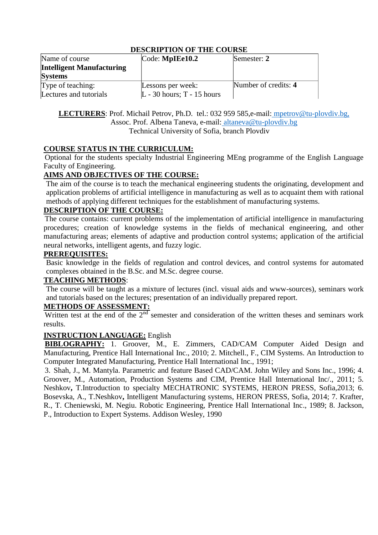| Name of course                   | $\text{Code: MplEe10.2}$     | Semester: 2          |
|----------------------------------|------------------------------|----------------------|
| <b>Intelligent Manufacturing</b> |                              |                      |
| <b>Systems</b>                   |                              |                      |
| Type of teaching:                | Lessons per week:            | Number of credits: 4 |
| Lectures and tutorials           | $L - 30$ hours; T - 15 hours |                      |

#### LECTURERS: Prof. Michail Petrov, Ph.D. tel.: 032 959 585,e-mail: [mpetrov@tu-plovdiv.bg,](mailto:%20mpetrov@tu-plovdiv.bg,) Assoc. Prof. Albena Taneva, e-mail: [altaneva@tu-plovdiv.bg](mailto:%20altaneva@tu-plovdiv.bg) Technical University of Sofia, branch Plovdiv

#### **COURSE STATUS IN THE CURRICULUM:**

Optional for the students specialty Industrial Engineering MEng programme of the English Language Faculty of Engineering.

## **AIMS AND OBJECTIVES OF THE COURSE:**

The aim of the course is to teach the mechanical engineering students the originating, development and application problems of artificial intelligence in manufacturing as well as to acquaint them with rational methods of applying different techniques for the establishment of manufacturing systems.

#### **DESCRIPTION OF THE COURSE:**

The course contains: current problems of the implementation of artificial intelligence in manufacturing procedures; creation of knowledge systems in the fields of mechanical engineering, and other manufacturing areas; elements of adaptive and production control systems; application of the artificial neural networks, intelligent agents, and fuzzy logic.

#### **PREREQUISITES:**

Basic knowledge in the fields of regulation and control devices, and control systems for automated complexes obtained in the B.Sc. and M.Sc. degree course.

#### **TEACHING METHODS**:

The course will be taught as a mixture of lectures (incl. visual aids and www-sources), seminars work and tutorials based on the lectures; presentation of an individually prepared report.

#### **METHODS OF ASSESSMENT:**

Written test at the end of the  $2<sup>nd</sup>$  semester and consideration of the written theses and seminars work results.

#### **INSTRUCTION LANGUAGE:** English

**BIBLOGRAPHY:** 1. Groover, M., E. Zimmers, CAD/CAM Computer Aided Design and Manufacturing, Prentice Hall International Inc., 2010; 2. Mitchell., F., CIM Systems. An Introduction to Computer Integrated Manufacturing, Prentice Hall International Inc., 1991;

3. Shah, J., M. Mantyla. Parametric and feature Based CAD/CAM. John Wiley and Sons Inc., 1996; 4. Groover, M., Automation, Production Systems and CIM, Prentice Hall International Inc/., 2011; 5. Neshkov**,** T.Introduction to specialty MECHATRONIC SYSTEMS, HERON PRESS, Sofia,2013; 6. Bosevska, A., T.Neshkov**,** Intelligent Manufacturing systems, HERON PRESS, Sofia, 2014; 7. Krafter, R., T. Cheniewski, M. Negiu. Robotic Engineering, Prentice Hall International Inc., 1989; 8. Jackson, P., Introduction to Expert Systems. Addison Wesley, 1990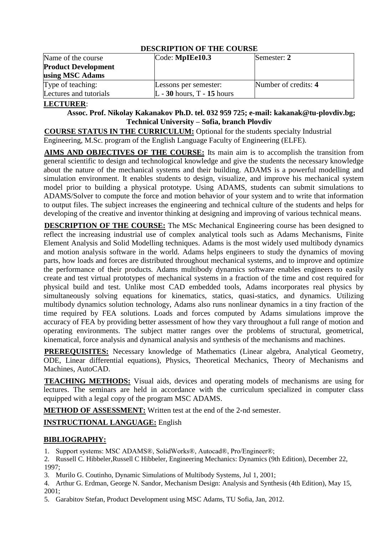| PERCIM HOR VI HILL COUNDL  |                              |                      |  |  |
|----------------------------|------------------------------|----------------------|--|--|
| Name of the course         | Code: MpIEe10.3              | Semester: 2          |  |  |
| <b>Product Development</b> |                              |                      |  |  |
| using MSC Adams            |                              |                      |  |  |
| Type of teaching:          | Lessons per semester:        | Number of credits: 4 |  |  |
| Lectures and tutorials     | $L - 30$ hours, T - 15 hours |                      |  |  |

#### **LECTURER**:

#### **Assoc. Prof. Nikolay Kakanakov Ph.D. tel. 032 959 725; e-mail: [kakanak@tu-plovdiv.bg;](mailto:%20kakanak@tu-plovdiv.bg;) Technical University – Sofia, branch Plovdiv**

**COURSE STATUS IN THE CURRICULUM:** Optional for the students specialty Industrial Engineering, M.Sc. program of the English Language Faculty of Engineering (ELFE).

**AIMS AND OBJECTIVES OF THE COURSE:** Its main aim is to accomplish the transition from general scientific to design and technological knowledge and give the students the necessary knowledge about the nature of the mechanical systems and their building. ADAMS is a powerful modelling and simulation environment. It enables students to design, visualize, and improve his mechanical system model prior to building a physical prototype. Using ADAMS, students can submit simulations to ADAMS/Solver to compute the force and motion behavior of your system and to write that information to output files. The subject increases the engineering and technical culture of the students and helps for developing of the creative and inventor thinking at designing and improving of various technical means.

**DESCRIPTION OF THE COURSE:** The MSc Mechanical Engineering course has been designed to reflect the increasing industrial use of complex analytical tools such as Adams Mechanisms, Finite Element Analysis and Solid Modelling techniques. Adams is the most widely used multibody dynamics and motion analysis software in the world. Adams helps engineers to study the dynamics of moving parts, how loads and forces are distributed throughout mechanical systems, and to improve and optimize the performance of their products. Adams multibody dynamics software enables engineers to easily create and test virtual prototypes of mechanical systems in a fraction of the time and cost required for physical build and test. Unlike most CAD embedded tools, Adams incorporates real physics by simultaneously solving equations for kinematics, statics, quasi-statics, and dynamics. Utilizing multibody dynamics solution technology, Adams also runs nonlinear dynamics in a tiny fraction of the time required by FEA solutions. Loads and forces computed by Adams simulations improve the accuracy of FEA by providing better assessment of how they vary throughout a full range of motion and operating environments. The subject matter ranges over the problems of structural, geometrical, kinematical, force analysis and dynamical analysis and synthesis of the mechanisms and machines.

**PREREQUISITES:** Necessary knowledge of Mathematics (Linear algebra, Analytical Geometry, ODE, Linear differential equations), Physics, Theoretical Mechanics, Theory of Mechanisms and Machines, AutoCAD.

**TEACHING METHODS:** Visual aids, devices and operating models of mechanisms are using for lectures. The seminars are held in accordance with the curriculum specialized in computer class equipped with a legal copy of the program MSC ADAMS.

**METHOD OF ASSESSMENT:** Written test at the end of the 2-nd semester.

**INSTRUCTIONAL LANGUAGE:** English

# **BIBLIOGRAPHY:**

1. Support systems: MSC ADAMS®, SolidWorks®, Autocad®, Pro/Engineer®;

2. Russell C. Hibbeler,Russell C Hibbeler, Engineering Mechanics: Dynamics (9th Edition), December 22, 1997;

3. Murilo G. Coutinho, Dynamic Simulations of Multibody Systems, Jul 1, 2001;

4. Arthur G. Erdman, George N. Sandor, Mechanism Design: Analysis and Synthesis (4th Edition), May 15, 2001;

5. Garabitov Stefan, Product Development using MSC Adams, TU Sofia, Jan, 2012.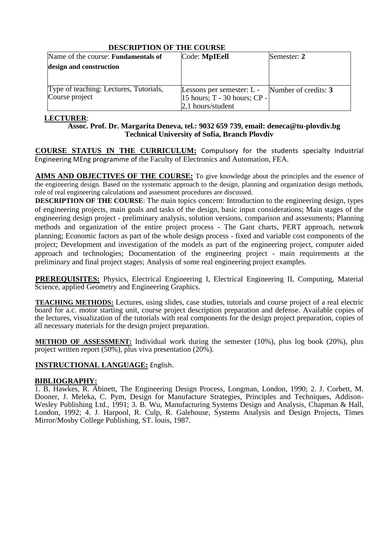| Name of the course: <b>Fundamentals of</b> | Code: MpIEell                                  | Semester: 2 |
|--------------------------------------------|------------------------------------------------|-------------|
| design and construction                    |                                                |             |
|                                            |                                                |             |
|                                            |                                                |             |
| Type of teaching: Lectures, Tutorials,     | Lessons per semester: L - Number of credits: 3 |             |
| Course project                             | $15$ hours; T - 30 hours; CP -                 |             |
|                                            | 2,1 hours/student                              |             |

## **LECTURER**:

#### **Assoc. Prof. Dr. Margarita Deneva, tel.: 9032 659 [739, email: deneca@tu](mailto:tzeneva@tu-sofia.bg)-plovdiv.bg Technical University of Sofia, Branch Plovdiv**

**COURSE STATUS IN THE CURRICULUM:** Compulsory for the students specialty Industrial Engineering MEng programme of the Faculty of Electronics and Automation, FEA.

**AIMS AND OBJECTIVES OF THE COURSE:** To give knowledge about the principles and the essence of the engineering design. Based on the systematic approach to the design, planning and organization design methods, role of real engineering calculations and assessment procedures are discussed.

**DESCRIPTION OF THE COURSE**: The main topics concern: Introduction to the engineering design, types of engineering projects, main goals and tasks of the design, basic input considerations; Main stages of the engineering design project - preliminary analysis, solution versions, comparison and assessments; Planning methods and organization of the entire project process - The Gant charts, PERT approach, network planning; Economic factors as part of the whole design process - fixed and variable cost components of the project; Development and investigation of the models as part of the engineering project, computer aided approach and technologies; Documentation of the engineering project - main requirements at the preliminary and final project stages; Analysis of some real engineering project examples.

**PREREQUISITES:** Physics, Electrical Engineering I, Electrical Engineering II, Computing, Material Science, applied Geometry and Engineering Graphics.

**TEACHING METHODS:** Lectures, using slides, case studies, tutorials and course project of a real electric board for a.c. motor starting unit, course project description preparation and defense. Available copies of the lectures, visualization of the tutorials with real components for the design project preparation, copies of all necessary materials for the design project preparation.

**METHOD OF ASSESSMENT:** Individual work during the semester (10%), plus log book (20%), plus project written report (50%), plus viva presentation (20%).

## **INSTRUCTIONAL LANGUAGE:** English.

## **BIBLIOGRAPHY:**

1. B. Hawkes, R. Abinett, The Engineering Design Process, Longman, London, 1990; 2. J. Corbett, M. Dooner, J. Meleka, C. Pym, Design for Manufacture Strategies, Principles and Techniques, Addison-Wesley Publishing Ltd., 1991; 3. B. Wu, Manufacturing Systems Design and Analysis, Chapman & Hall, London, 1992; 4. J. Harpool, R. Culp, R. Galehouse, Systems Analysis and Design Projects, Times Mirror/Mosby College Publishing, ST. louis, 1987.